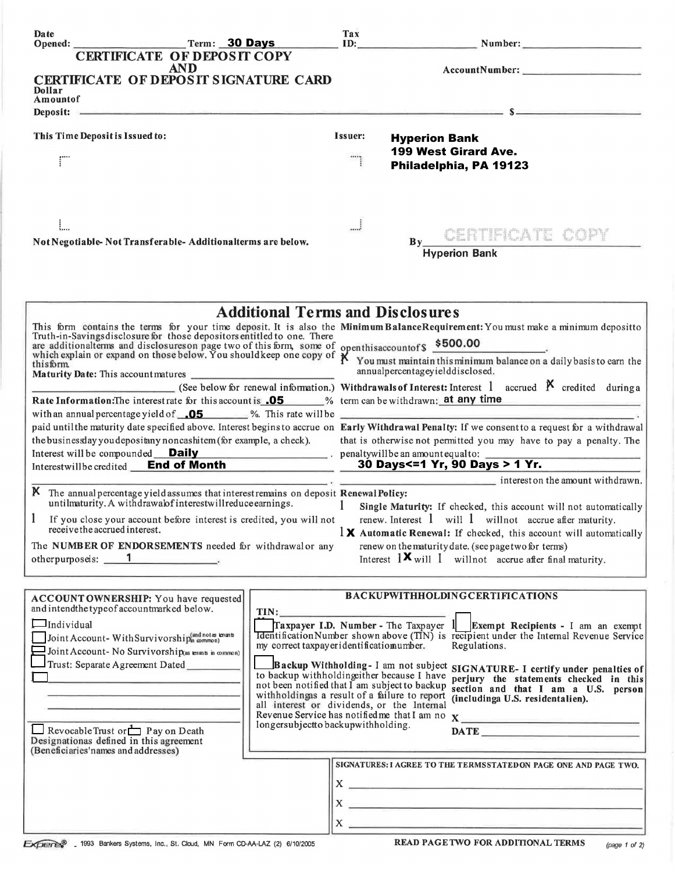| Date                                                                                                                                                                                                                                           |                                                                                                                                                                                                                               | $Term: 30$ Days                                                                             | Tax                                                                                                                      |                                                              |                                                                                                                                                                                                                                                                                                                                              |               |  |
|------------------------------------------------------------------------------------------------------------------------------------------------------------------------------------------------------------------------------------------------|-------------------------------------------------------------------------------------------------------------------------------------------------------------------------------------------------------------------------------|---------------------------------------------------------------------------------------------|--------------------------------------------------------------------------------------------------------------------------|--------------------------------------------------------------|----------------------------------------------------------------------------------------------------------------------------------------------------------------------------------------------------------------------------------------------------------------------------------------------------------------------------------------------|---------------|--|
|                                                                                                                                                                                                                                                | <b>CERTIFICATE OF DEPOSIT COPY</b>                                                                                                                                                                                            |                                                                                             |                                                                                                                          |                                                              |                                                                                                                                                                                                                                                                                                                                              |               |  |
|                                                                                                                                                                                                                                                | <b>AND</b>                                                                                                                                                                                                                    |                                                                                             |                                                                                                                          |                                                              | AccountNumber:                                                                                                                                                                                                                                                                                                                               |               |  |
| Dollar                                                                                                                                                                                                                                         | <b>CERTIFICATE OF DEPOSIT SIGNATURE CARD</b>                                                                                                                                                                                  |                                                                                             |                                                                                                                          |                                                              |                                                                                                                                                                                                                                                                                                                                              |               |  |
| Amountof                                                                                                                                                                                                                                       | Deposit: Same and the second contract of the second contract of the second contract of the second contract of the second contract of the second contract of the second contract of the second contract of the second contract |                                                                                             |                                                                                                                          |                                                              |                                                                                                                                                                                                                                                                                                                                              |               |  |
|                                                                                                                                                                                                                                                |                                                                                                                                                                                                                               |                                                                                             |                                                                                                                          |                                                              |                                                                                                                                                                                                                                                                                                                                              |               |  |
| This Time Deposit is Issued to:                                                                                                                                                                                                                |                                                                                                                                                                                                                               |                                                                                             | Issuer:                                                                                                                  | <b>Hyperion Bank</b>                                         |                                                                                                                                                                                                                                                                                                                                              |               |  |
|                                                                                                                                                                                                                                                |                                                                                                                                                                                                                               |                                                                                             |                                                                                                                          |                                                              | <b>199 West Girard Ave.</b>                                                                                                                                                                                                                                                                                                                  |               |  |
|                                                                                                                                                                                                                                                |                                                                                                                                                                                                                               |                                                                                             |                                                                                                                          |                                                              | Philadelphia, PA 19123                                                                                                                                                                                                                                                                                                                       |               |  |
|                                                                                                                                                                                                                                                |                                                                                                                                                                                                                               |                                                                                             |                                                                                                                          |                                                              |                                                                                                                                                                                                                                                                                                                                              |               |  |
|                                                                                                                                                                                                                                                |                                                                                                                                                                                                                               |                                                                                             |                                                                                                                          |                                                              |                                                                                                                                                                                                                                                                                                                                              |               |  |
|                                                                                                                                                                                                                                                |                                                                                                                                                                                                                               |                                                                                             |                                                                                                                          |                                                              |                                                                                                                                                                                                                                                                                                                                              |               |  |
| ŧ                                                                                                                                                                                                                                              |                                                                                                                                                                                                                               |                                                                                             | J                                                                                                                        |                                                              | CERTIFICATE COPY                                                                                                                                                                                                                                                                                                                             |               |  |
|                                                                                                                                                                                                                                                | Not Negotiable-Not Transferable-Additionalterms are below.                                                                                                                                                                    |                                                                                             |                                                                                                                          | $\mathbf{B}\mathbf{v}$<br><b>Hyperion Bank</b>               |                                                                                                                                                                                                                                                                                                                                              |               |  |
|                                                                                                                                                                                                                                                |                                                                                                                                                                                                                               |                                                                                             |                                                                                                                          |                                                              |                                                                                                                                                                                                                                                                                                                                              |               |  |
|                                                                                                                                                                                                                                                |                                                                                                                                                                                                                               |                                                                                             |                                                                                                                          |                                                              |                                                                                                                                                                                                                                                                                                                                              |               |  |
|                                                                                                                                                                                                                                                |                                                                                                                                                                                                                               |                                                                                             |                                                                                                                          |                                                              |                                                                                                                                                                                                                                                                                                                                              |               |  |
|                                                                                                                                                                                                                                                |                                                                                                                                                                                                                               | <b>Additional Terms and Disclosures</b>                                                     |                                                                                                                          |                                                              |                                                                                                                                                                                                                                                                                                                                              |               |  |
|                                                                                                                                                                                                                                                |                                                                                                                                                                                                                               |                                                                                             |                                                                                                                          |                                                              |                                                                                                                                                                                                                                                                                                                                              |               |  |
| This form contains the terms for your time deposit. It is also the Minimum BalanceRequirement: You must make a minimum depositto Truth-in-Savings disclosure for those depositors entitled to one. There                                       |                                                                                                                                                                                                                               |                                                                                             |                                                                                                                          |                                                              |                                                                                                                                                                                                                                                                                                                                              |               |  |
| which explain or expand on those depositors entities to one. There<br>which explain or expand on those below. You should keep one copy of $\chi$ You must maintain this minimum balance on a daily basis to earn the<br>this form.<br>thisform |                                                                                                                                                                                                                               |                                                                                             |                                                                                                                          |                                                              |                                                                                                                                                                                                                                                                                                                                              |               |  |
| Maturity Date: This account matures                                                                                                                                                                                                            |                                                                                                                                                                                                                               |                                                                                             |                                                                                                                          | annualpercentageyielddisclosed.                              |                                                                                                                                                                                                                                                                                                                                              |               |  |
|                                                                                                                                                                                                                                                | (See below for renewal information.) Withdrawals of Interest: Interest 1 accrued $\boldsymbol{\beta}$ credited during a                                                                                                       |                                                                                             |                                                                                                                          |                                                              |                                                                                                                                                                                                                                                                                                                                              |               |  |
| Rate Information: The interest rate for this account is <b>05</b> % term can be withdrawn: <b>at any time</b><br>with an annual percentage yield of $\sqrt{0.5}$ %. This rate will be                                                          |                                                                                                                                                                                                                               |                                                                                             |                                                                                                                          |                                                              |                                                                                                                                                                                                                                                                                                                                              |               |  |
|                                                                                                                                                                                                                                                | paid until the maturity date specified above. Interest begins to accrue on Early Withdrawal Penalty: If we consent to a request for a withdrawal                                                                              |                                                                                             |                                                                                                                          |                                                              |                                                                                                                                                                                                                                                                                                                                              |               |  |
| the business day you depositany noncashitem (for example, a check).                                                                                                                                                                            |                                                                                                                                                                                                                               |                                                                                             | that is otherwise not permitted you may have to pay a penalty. The                                                       |                                                              |                                                                                                                                                                                                                                                                                                                                              |               |  |
| Interest will be compounded <b>Daily</b> entertainment of penaltywill be an amount equal to:                                                                                                                                                   |                                                                                                                                                                                                                               |                                                                                             |                                                                                                                          |                                                              |                                                                                                                                                                                                                                                                                                                                              |               |  |
| Interestwillbe credited <b>End of Month</b>                                                                                                                                                                                                    |                                                                                                                                                                                                                               |                                                                                             | 30 Days<=1 Yr, 90 Days > 1 Yr.<br>$\cdot$ interest on the amount withdrawn.                                              |                                                              |                                                                                                                                                                                                                                                                                                                                              |               |  |
|                                                                                                                                                                                                                                                |                                                                                                                                                                                                                               |                                                                                             |                                                                                                                          |                                                              |                                                                                                                                                                                                                                                                                                                                              |               |  |
| K The annual percentage yield assumes that interestremains on deposit Renewal Policy:<br>untilmaturity. A withdrawalof interestwill reduce earnings.                                                                                           |                                                                                                                                                                                                                               |                                                                                             | $\mathbf{1}$<br>Single Maturity: If checked, this account will not automatically                                         |                                                              |                                                                                                                                                                                                                                                                                                                                              |               |  |
|                                                                                                                                                                                                                                                | If you close your account before interest is credited, you will not                                                                                                                                                           |                                                                                             |                                                                                                                          | renew. Interest $1$ will $1$ will not accrue after maturity. |                                                                                                                                                                                                                                                                                                                                              |               |  |
| receive the accrued interest.                                                                                                                                                                                                                  |                                                                                                                                                                                                                               |                                                                                             |                                                                                                                          |                                                              | $\frac{1}{2}$ Automatic Renewal: If checked, this account will automatically                                                                                                                                                                                                                                                                 |               |  |
| The NUMBER OF ENDORSEMENTS needed for withdrawal or any<br>otherpurposeis: 1                                                                                                                                                                   |                                                                                                                                                                                                                               |                                                                                             | renew on the maturity date. (see page two for terms)<br>Interest $1 \times$ will 1 will not accrue after final maturity. |                                                              |                                                                                                                                                                                                                                                                                                                                              |               |  |
|                                                                                                                                                                                                                                                |                                                                                                                                                                                                                               |                                                                                             |                                                                                                                          |                                                              |                                                                                                                                                                                                                                                                                                                                              |               |  |
|                                                                                                                                                                                                                                                |                                                                                                                                                                                                                               |                                                                                             |                                                                                                                          |                                                              |                                                                                                                                                                                                                                                                                                                                              |               |  |
| and intendthe typeof accountmarked below.                                                                                                                                                                                                      | ACCOUNT OWNERSHIP: You have requested                                                                                                                                                                                         |                                                                                             |                                                                                                                          |                                                              | <b>BACKUPWITHHOLDINGCERTIFICATIONS</b>                                                                                                                                                                                                                                                                                                       |               |  |
| $\Box$ Individual                                                                                                                                                                                                                              |                                                                                                                                                                                                                               | TIN:                                                                                        |                                                                                                                          |                                                              | Traxpayer I.D. Number - The Taxpayer $1$ Exempt Recipients - I am an exempt                                                                                                                                                                                                                                                                  |               |  |
| Joint Account-With Survivorship(and notes tenants                                                                                                                                                                                              |                                                                                                                                                                                                                               |                                                                                             | <b>Identification Number shown above (TIN)</b> is recipient under the Internal Revenue Service                           |                                                              |                                                                                                                                                                                                                                                                                                                                              |               |  |
|                                                                                                                                                                                                                                                | $\equiv$ Joint Account- No Survivorship(as enants in common)                                                                                                                                                                  | my correct taxpayeridentificatiomumber.                                                     |                                                                                                                          |                                                              | Regulations.                                                                                                                                                                                                                                                                                                                                 |               |  |
|                                                                                                                                                                                                                                                | Trust: Separate Agreement Dated                                                                                                                                                                                               |                                                                                             |                                                                                                                          |                                                              | Backup Withholding-I am not subject SIGNATURE-I certify under penalties of                                                                                                                                                                                                                                                                   |               |  |
|                                                                                                                                                                                                                                                |                                                                                                                                                                                                                               | to backup withholdingeither because I have<br>not been notified that I am subject to backup |                                                                                                                          |                                                              | perjury the statements checked in this<br>section and that I am a U.S. person                                                                                                                                                                                                                                                                |               |  |
|                                                                                                                                                                                                                                                |                                                                                                                                                                                                                               | withholdingas a result of a failure to report<br>all interest or dividends, or the Internal |                                                                                                                          |                                                              | (includinga U.S. residentalien).                                                                                                                                                                                                                                                                                                             |               |  |
|                                                                                                                                                                                                                                                |                                                                                                                                                                                                                               |                                                                                             |                                                                                                                          |                                                              | Revenue Service has notified me that I am no $X$                                                                                                                                                                                                                                                                                             |               |  |
| Revocable Trust or $\Box$ P ay on Death                                                                                                                                                                                                        |                                                                                                                                                                                                                               | longersubjectto backupwithholding.                                                          |                                                                                                                          |                                                              |                                                                                                                                                                                                                                                                                                                                              |               |  |
| Designationas defined in this agreement<br>(Beneficiaries'names and addresses)                                                                                                                                                                 |                                                                                                                                                                                                                               |                                                                                             |                                                                                                                          |                                                              |                                                                                                                                                                                                                                                                                                                                              |               |  |
|                                                                                                                                                                                                                                                |                                                                                                                                                                                                                               |                                                                                             |                                                                                                                          |                                                              | SIGNATURES: I AGREE TO THE TERMSSTATEDON PAGE ONE AND PAGE TWO.                                                                                                                                                                                                                                                                              |               |  |
|                                                                                                                                                                                                                                                |                                                                                                                                                                                                                               |                                                                                             |                                                                                                                          |                                                              | $X \sim$                                                                                                                                                                                                                                                                                                                                     |               |  |
|                                                                                                                                                                                                                                                |                                                                                                                                                                                                                               |                                                                                             |                                                                                                                          |                                                              |                                                                                                                                                                                                                                                                                                                                              |               |  |
|                                                                                                                                                                                                                                                |                                                                                                                                                                                                                               |                                                                                             |                                                                                                                          |                                                              | $X \longrightarrow \mathbb{R}$                                                                                                                                                                                                                                                                                                               |               |  |
|                                                                                                                                                                                                                                                |                                                                                                                                                                                                                               |                                                                                             |                                                                                                                          |                                                              | $X \sim$ $X \sim$ $X \sim$ $X \sim$ $X \sim$ $X \sim$ $X \sim$ $X \sim$ $X \sim$ $X \sim$ $X \sim$ $X \sim$ $X \sim$ $X \sim$ $X \sim$ $X \sim$ $X \sim$ $X \sim$ $X \sim$ $X \sim$ $X \sim$ $X \sim$ $X \sim$ $X \sim$ $X \sim$ $X \sim$ $X \sim$ $X \sim$ $X \sim$ $X \sim$ $X \sim$ $X \sim$ $X \sim$ $X \sim$ $X \sim$ $X \sim$ $X \sim$ |               |  |
|                                                                                                                                                                                                                                                | EXPERISE 1993 Bankers Systems, Inc., St. Cloud, MN Form CD-AA-LAZ (2) 6/10/2005                                                                                                                                               |                                                                                             |                                                                                                                          |                                                              | <b>READ PAGETWO FOR ADDITIONAL TERMS</b>                                                                                                                                                                                                                                                                                                     | (page 1 of 2) |  |